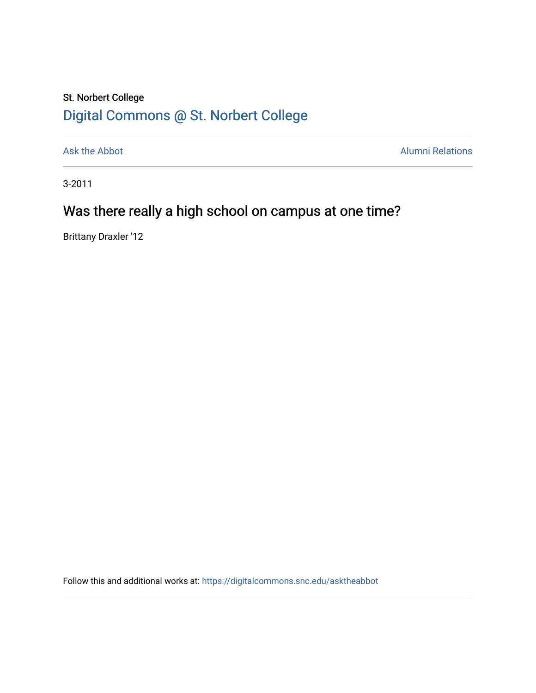## St. Norbert College [Digital Commons @ St. Norbert College](https://digitalcommons.snc.edu/)

[Ask the Abbot](https://digitalcommons.snc.edu/asktheabbot) **Alumni Relations** Alumni Relations

3-2011

## Was there really a high school on campus at one time?

Brittany Draxler '12

Follow this and additional works at: [https://digitalcommons.snc.edu/asktheabbot](https://digitalcommons.snc.edu/asktheabbot?utm_source=digitalcommons.snc.edu%2Fasktheabbot%2F70&utm_medium=PDF&utm_campaign=PDFCoverPages)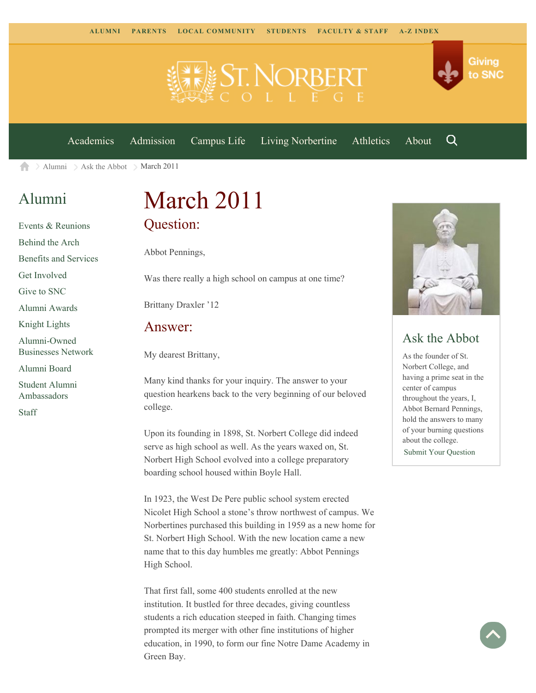



[Academics](https://www.snc.edu/academics) [Admission](https://www.snc.edu/admission) [Campus Life](https://www.snc.edu/campuslife) [Living Norbertine](https://www.snc.edu/livingnorbertine) [Athletics](https://www.snc.edu/athletics) [About](https://www.snc.edu/about)

Q

Giving

to SNC

 $\geq$  [Alumni](https://www.snc.edu/alumni/)  $\geq$  [Ask the Abbot](https://www.snc.edu/alumni/abbot/)  $\geq$  March 2011 合

## [Alumni](https://www.snc.edu/alumni/index.html)

[Events & Reunions](https://www.snc.edu/alumni/event/index.html) [Behind the Arch](https://www.snc.edu/alumni/event/behindthearch/) [Benefits and Services](https://www.snc.edu/alumni/benefits.html) [Get Involved](https://www.snc.edu/alumni/getinvolved.html) [Give to SNC](http://giving.snc.edu/) [Alumni Awards](https://www.snc.edu/alumni/awards/index.html) [Knight Lights](https://www.snc.edu/alumni/knightlights/index.html) [Alumni-Owned](https://www.snc.edu/alumni/directory/index.html) [Businesses Network](https://www.snc.edu/alumni/directory/index.html) [Alumni Board](https://www.snc.edu/alumni/alumniboard.html) [Student Alumni](https://www.snc.edu/alumni/saa.html) [Ambassadors](https://www.snc.edu/alumni/saa.html) [Staff](https://www.snc.edu/alumni/contactus.html)

# March 2011 Question:

Abbot Pennings,

Was there really a high school on campus at one time?

Brittany Draxler '12

#### Answer:

My dearest Brittany,

Many kind thanks for your inquiry. The answer to your question hearkens back to the very beginning of our beloved college.

Upon its founding in 1898, St. Norbert College did indeed serve as high school as well. As the years waxed on, St. Norbert High School evolved into a college preparatory boarding school housed within Boyle Hall.

In 1923, the West De Pere public school system erected Nicolet High School a stone's throw northwest of campus. We Norbertines purchased this building in 1959 as a new home for St. Norbert High School. With the new location came a new name that to this day humbles me greatly: Abbot Pennings High School.

That first fall, some 400 students enrolled at the new institution. It bustled for three decades, giving countless students a rich education steeped in faith. Changing times prompted its merger with other fine institutions of higher education, in 1990, to form our fine Notre Dame Academy in Green Bay.



### Ask the Abbot

As the founder of St. Norbert College, and having a prime seat in the center of campus throughout the years, I, Abbot Bernard Pennings, hold the answers to many of your burning questions about the college. [Submit Your Question](https://www.snc.edu/alumni/abbot/index.html)